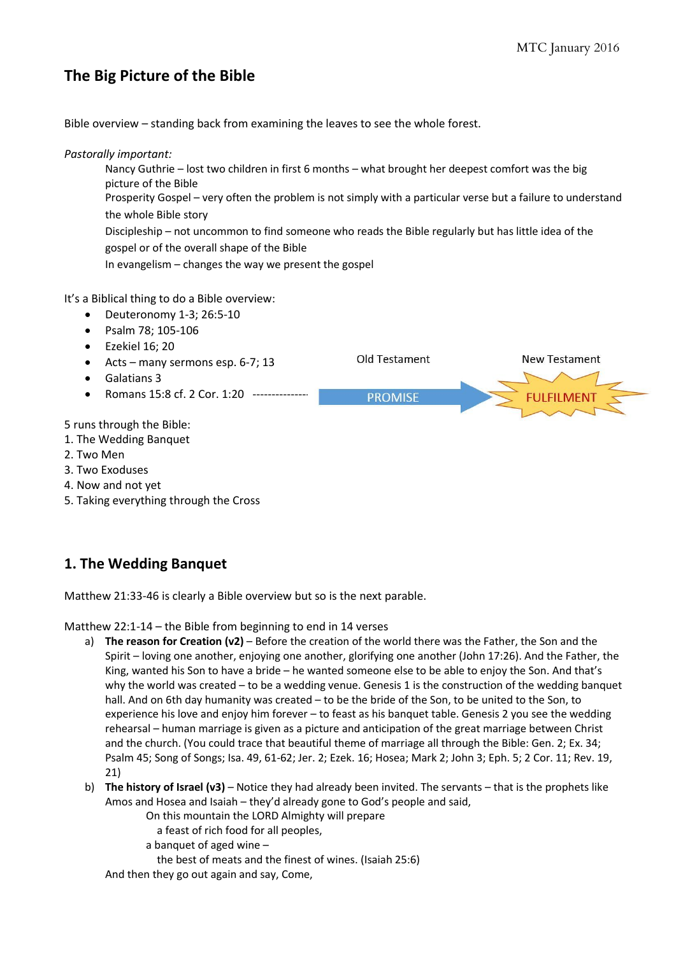**New Testament** 

### **The Big Picture of the Bible**

Bible overview – standing back from examining the leaves to see the whole forest.

#### *Pastorally important:*

- Nancy Guthrie lost two children in first 6 months what brought her deepest comfort was the big picture of the Bible
- Prosperity Gospel very often the problem is not simply with a particular verse but a failure to understand the whole Bible story

Old Testament

Discipleship – not uncommon to find someone who reads the Bible regularly but has little idea of the gospel or of the overall shape of the Bible

In evangelism – changes the way we present the gospel

It's a Biblical thing to do a Bible overview:

- $\bullet$  Deuteronomy 1-3; 26:5-10
- Psalm 78: 105-106
- Ezekiel 16; 20
- Acts many sermons esp. 6-7; 13
- Galatians 3
- Romans 15:8 cf. 2 Cor. 1:20 ----------------**PROMISE**

5 runs through the Bible:

- 1. The Wedding Banquet
- 2. Two Men
- 3. Two Exoduses
- 4. Now and not yet
- 5. Taking everything through the Cross

#### **1. The Wedding Banquet**

Matthew 21:33-46 is clearly a Bible overview but so is the next parable.

Matthew 22:1-14 – the Bible from beginning to end in 14 verses

- a) **The reason for Creation (v2)** Before the creation of the world there was the Father, the Son and the Spirit – loving one another, enjoying one another, glorifying one another (John 17:26). And the Father, the King, wanted his Son to have a bride – he wanted someone else to be able to enjoy the Son. And that's why the world was created – to be a wedding venue. Genesis 1 is the construction of the wedding banquet hall. And on 6th day humanity was created – to be the bride of the Son, to be united to the Son, to experience his love and enjoy him forever – to feast as his banquet table. Genesis 2 you see the wedding rehearsal – human marriage is given as a picture and anticipation of the great marriage between Christ and the church. (You could trace that beautiful theme of marriage all through the Bible: Gen. 2; Ex. 34; Psalm 45; Song of Songs; Isa. 49, 61-62; Jer. 2; Ezek. 16; Hosea; Mark 2; John 3; Eph. 5; 2 Cor. 11; Rev. 19, 21)
- b) **The history of Israel (v3)** Notice they had already been invited. The servants that is the prophets like Amos and Hosea and Isaiah – they'd already gone to God's people and said,
	- On this mountain the LORD Almighty will prepare
		- a feast of rich food for all peoples,
	- a banquet of aged wine –
	- the best of meats and the finest of wines. (Isaiah 25:6)

And then they go out again and say, Come,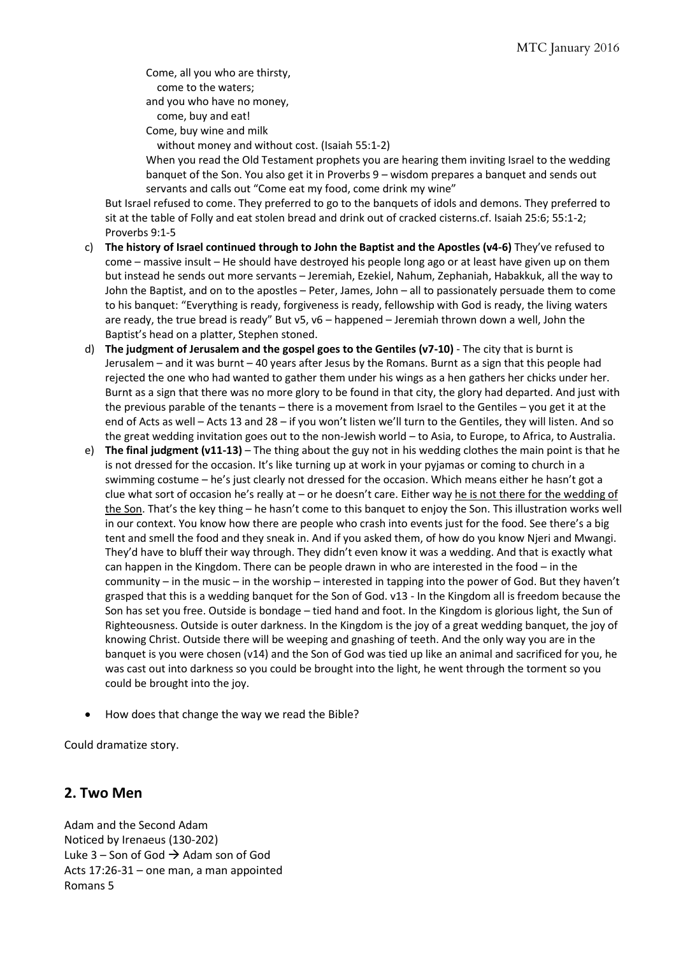Come, all you who are thirsty, come to the waters; and you who have no money,

 come, buy and eat! Come, buy wine and milk

without money and without cost. (Isaiah 55:1-2)

When you read the Old Testament prophets you are hearing them inviting Israel to the wedding banquet of the Son. You also get it in Proverbs 9 – wisdom prepares a banquet and sends out servants and calls out "Come eat my food, come drink my wine"

But Israel refused to come. They preferred to go to the banquets of idols and demons. They preferred to sit at the table of Folly and eat stolen bread and drink out of cracked cisterns.cf. Isaiah 25:6; 55:1-2; Proverbs 9:1-5

- c) **The history of Israel continued through to John the Baptist and the Apostles (v4-6)** They've refused to come – massive insult – He should have destroyed his people long ago or at least have given up on them but instead he sends out more servants – Jeremiah, Ezekiel, Nahum, Zephaniah, Habakkuk, all the way to John the Baptist, and on to the apostles – Peter, James, John – all to passionately persuade them to come to his banquet: "Everything is ready, forgiveness is ready, fellowship with God is ready, the living waters are ready, the true bread is ready" But v5, v6 – happened – Jeremiah thrown down a well, John the Baptist's head on a platter, Stephen stoned.
- d) **The judgment of Jerusalem and the gospel goes to the Gentiles (v7-10)** The city that is burnt is Jerusalem – and it was burnt – 40 years after Jesus by the Romans. Burnt as a sign that this people had rejected the one who had wanted to gather them under his wings as a hen gathers her chicks under her. Burnt as a sign that there was no more glory to be found in that city, the glory had departed. And just with the previous parable of the tenants – there is a movement from Israel to the Gentiles – you get it at the end of Acts as well – Acts 13 and 28 – if you won't listen we'll turn to the Gentiles, they will listen. And so the great wedding invitation goes out to the non-Jewish world – to Asia, to Europe, to Africa, to Australia.
- e) **The final judgment (v11-13)** The thing about the guy not in his wedding clothes the main point is that he is not dressed for the occasion. It's like turning up at work in your pyjamas or coming to church in a swimming costume – he's just clearly not dressed for the occasion. Which means either he hasn't got a clue what sort of occasion he's really at – or he doesn't care. Either way he is not there for the wedding of the Son. That's the key thing – he hasn't come to this banquet to enjoy the Son. This illustration works well in our context. You know how there are people who crash into events just for the food. See there's a big tent and smell the food and they sneak in. And if you asked them, of how do you know Njeri and Mwangi. They'd have to bluff their way through. They didn't even know it was a wedding. And that is exactly what can happen in the Kingdom. There can be people drawn in who are interested in the food – in the community – in the music – in the worship – interested in tapping into the power of God. But they haven't grasped that this is a wedding banquet for the Son of God. v13 - In the Kingdom all is freedom because the Son has set you free. Outside is bondage – tied hand and foot. In the Kingdom is glorious light, the Sun of Righteousness. Outside is outer darkness. In the Kingdom is the joy of a great wedding banquet, the joy of knowing Christ. Outside there will be weeping and gnashing of teeth. And the only way you are in the banquet is you were chosen (v14) and the Son of God was tied up like an animal and sacrificed for you, he was cast out into darkness so you could be brought into the light, he went through the torment so you could be brought into the joy.
- How does that change the way we read the Bible?

Could dramatize story.

#### **2. Two Men**

Adam and the Second Adam Noticed by Irenaeus (130-202) Luke 3 – Son of God  $\rightarrow$  Adam son of God Acts 17:26-31 – one man, a man appointed Romans 5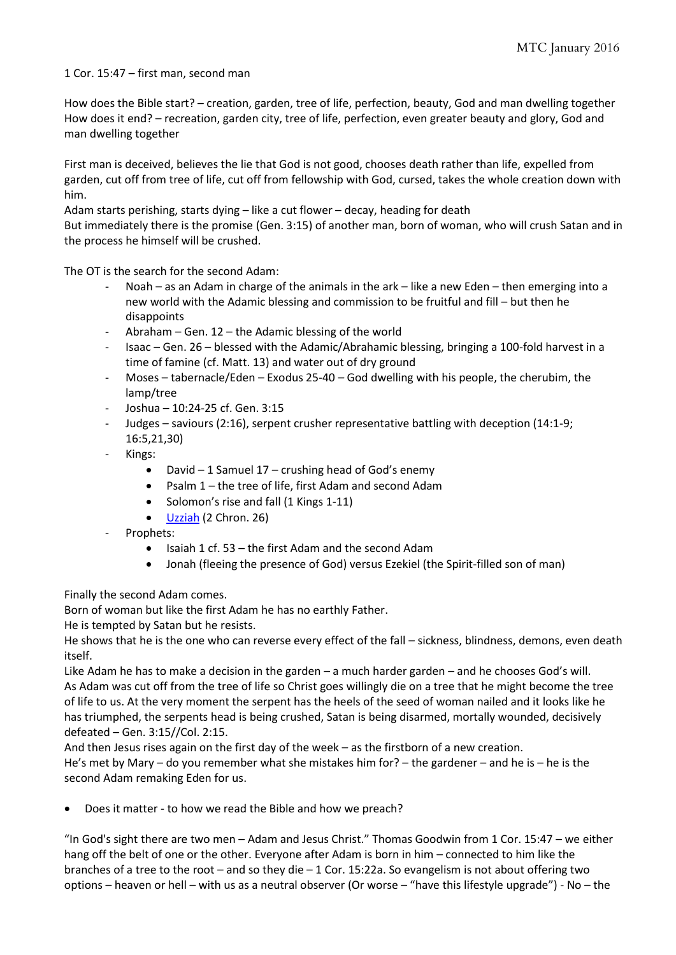1 Cor. 15:47 – first man, second man

How does the Bible start? – creation, garden, tree of life, perfection, beauty, God and man dwelling together How does it end? – recreation, garden city, tree of life, perfection, even greater beauty and glory, God and man dwelling together

First man is deceived, believes the lie that God is not good, chooses death rather than life, expelled from garden, cut off from tree of life, cut off from fellowship with God, cursed, takes the whole creation down with him.

Adam starts perishing, starts dying – like a cut flower – decay, heading for death

But immediately there is the promise (Gen. 3:15) of another man, born of woman, who will crush Satan and in the process he himself will be crushed.

The OT is the search for the second Adam:

- Noah as an Adam in charge of the animals in the ark like a new Eden then emerging into a new world with the Adamic blessing and commission to be fruitful and fill – but then he disappoints
- Abraham Gen.  $12$  the Adamic blessing of the world
- Isaac Gen. 26 blessed with the Adamic/Abrahamic blessing, bringing a 100-fold harvest in a time of famine (cf. Matt. 13) and water out of dry ground
- Moses tabernacle/Eden Exodus 25-40 God dwelling with his people, the cherubim, the lamp/tree
- Joshua 10:24-25 cf. Gen. 3:15
- Judges saviours (2:16), serpent crusher representative battling with deception (14:1-9; 16:5,21,30)
- Kings:
	- David  $-1$  Samuel 17 crushing head of God's enemy
	- Psalm 1 the tree of life, first Adam and second Adam
	- Solomon's rise and fall (1 Kings 1-11)
	- [Uzziah](http://watumishiwaneno.wordpress.com/2013/05/25/two-leadership-shapes/) (2 Chron. 26)
- Prophets:
	- $\bullet$  Isaiah 1 cf. 53 the first Adam and the second Adam
	- Jonah (fleeing the presence of God) versus Ezekiel (the Spirit-filled son of man)

Finally the second Adam comes.

Born of woman but like the first Adam he has no earthly Father.

He is tempted by Satan but he resists.

He shows that he is the one who can reverse every effect of the fall – sickness, blindness, demons, even death itself.

Like Adam he has to make a decision in the garden – a much harder garden – and he chooses God's will. As Adam was cut off from the tree of life so Christ goes willingly die on a tree that he might become the tree of life to us. At the very moment the serpent has the heels of the seed of woman nailed and it looks like he has triumphed, the serpents head is being crushed, Satan is being disarmed, mortally wounded, decisively defeated – Gen. 3:15//Col. 2:15.

And then Jesus rises again on the first day of the week – as the firstborn of a new creation. He's met by Mary – do you remember what she mistakes him for? – the gardener – and he is – he is the second Adam remaking Eden for us.

Does it matter - to how we read the Bible and how we preach?

"In God's sight there are two men – Adam and Jesus Christ." Thomas Goodwin from 1 Cor. 15:47 – we either hang off the belt of one or the other. Everyone after Adam is born in him – connected to him like the branches of a tree to the root – and so they die – 1 Cor. 15:22a. So evangelism is not about offering two options – heaven or hell – with us as a neutral observer (Or worse – "have this lifestyle upgrade") - No – the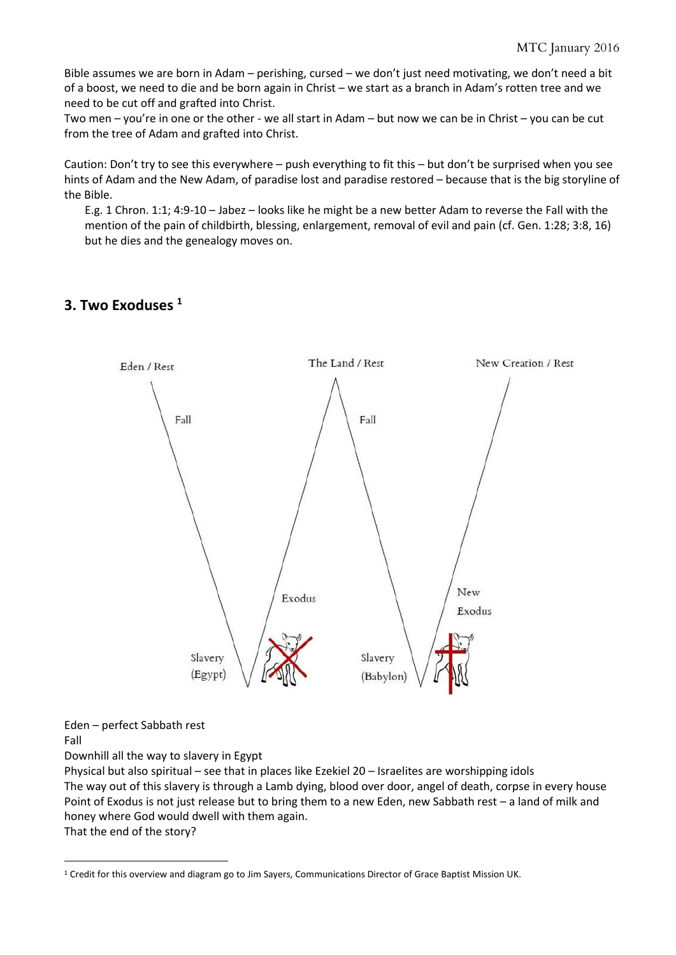Bible assumes we are born in Adam – perishing, cursed – we don't just need motivating, we don't need a bit of a boost, we need to die and be born again in Christ – we start as a branch in Adam's rotten tree and we need to be cut off and grafted into Christ.

Two men – you're in one or the other - we all start in Adam – but now we can be in Christ – you can be cut from the tree of Adam and grafted into Christ.

Caution: Don't try to see this everywhere – push everything to fit this – but don't be surprised when you see hints of Adam and the New Adam, of paradise lost and paradise restored – because that is the big storyline of the Bible.

E.g. 1 Chron. 1:1; 4:9-10 – Jabez – looks like he might be a new better Adam to reverse the Fall with the mention of the pain of childbirth, blessing, enlargement, removal of evil and pain (cf. Gen. 1:28; 3:8, 16) but he dies and the genealogy moves on.

#### **3. Two Exoduses <sup>1</sup>**



Eden – perfect Sabbath rest

Fall

<u>.</u>

Downhill all the way to slavery in Egypt

Physical but also spiritual – see that in places like Ezekiel 20 – Israelites are worshipping idols The way out of this slavery is through a Lamb dying, blood over door, angel of death, corpse in every house Point of Exodus is not just release but to bring them to a new Eden, new Sabbath rest – a land of milk and honey where God would dwell with them again. That the end of the story?

<sup>1</sup> Credit for this overview and diagram go to Jim Sayers, Communications Director of Grace Baptist Mission UK.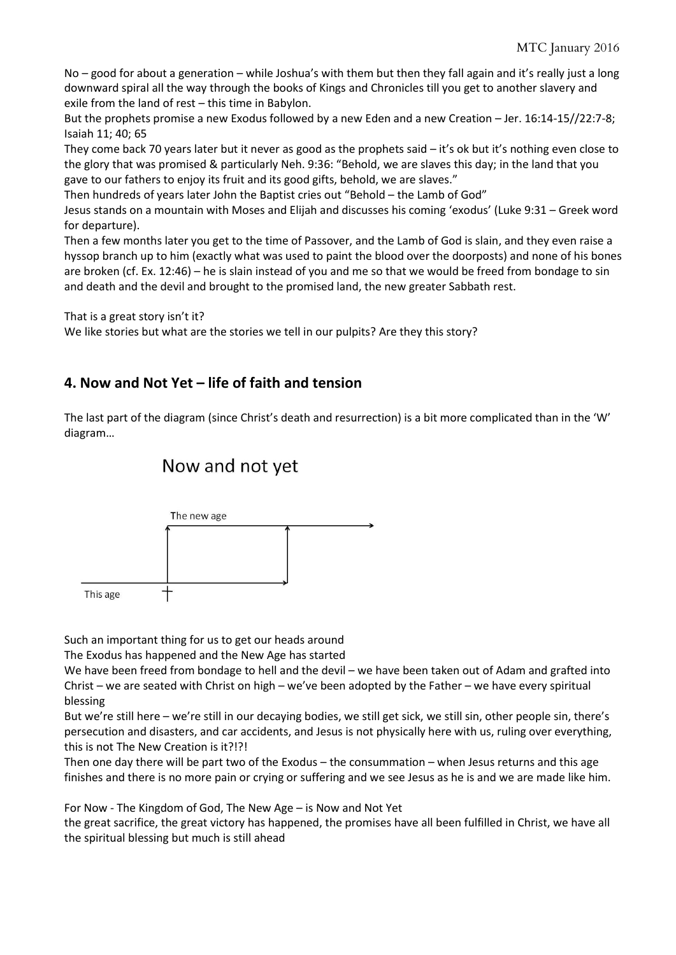No – good for about a generation – while Joshua's with them but then they fall again and it's really just a long downward spiral all the way through the books of Kings and Chronicles till you get to another slavery and exile from the land of rest – this time in Babylon.

But the prophets promise a new Exodus followed by a new Eden and a new Creation – Jer. 16:14-15//22:7-8; Isaiah 11; 40; 65

They come back 70 years later but it never as good as the prophets said – it's ok but it's nothing even close to the glory that was promised & particularly Neh. 9:36: "Behold, we are slaves this day; in the land that you gave to our fathers to enjoy its fruit and its good gifts, behold, we are slaves."

Then hundreds of years later John the Baptist cries out "Behold – the Lamb of God"

Jesus stands on a mountain with Moses and Elijah and discusses his coming 'exodus' (Luke 9:31 – Greek word for departure).

Then a few months later you get to the time of Passover, and the Lamb of God is slain, and they even raise a hyssop branch up to him (exactly what was used to paint the blood over the doorposts) and none of his bones are broken (cf. Ex. 12:46) – he is slain instead of you and me so that we would be freed from bondage to sin and death and the devil and brought to the promised land, the new greater Sabbath rest.

That is a great story isn't it?

We like stories but what are the stories we tell in our pulpits? Are they this story?

#### **4. Now and Not Yet – life of faith and tension**

The last part of the diagram (since Christ's death and resurrection) is a bit more complicated than in the 'W' diagram…

# Now and not yet



Such an important thing for us to get our heads around

The Exodus has happened and the New Age has started

We have been freed from bondage to hell and the devil – we have been taken out of Adam and grafted into Christ – we are seated with Christ on high – we've been adopted by the Father – we have every spiritual blessing

But we're still here – we're still in our decaying bodies, we still get sick, we still sin, other people sin, there's persecution and disasters, and car accidents, and Jesus is not physically here with us, ruling over everything, this is not The New Creation is it?!?!

Then one day there will be part two of the Exodus – the consummation – when Jesus returns and this age finishes and there is no more pain or crying or suffering and we see Jesus as he is and we are made like him.

For Now - The Kingdom of God, The New Age – is Now and Not Yet

the great sacrifice, the great victory has happened, the promises have all been fulfilled in Christ, we have all the spiritual blessing but much is still ahead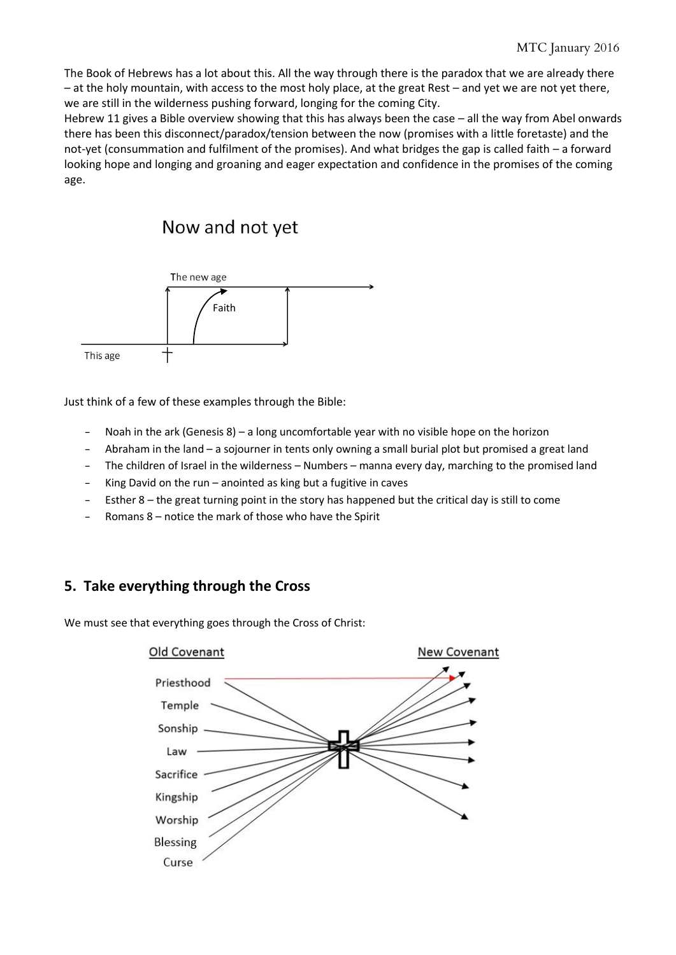The Book of Hebrews has a lot about this. All the way through there is the paradox that we are already there – at the holy mountain, with access to the most holy place, at the great Rest – and yet we are not yet there, we are still in the wilderness pushing forward, longing for the coming City.

Hebrew 11 gives a Bible overview showing that this has always been the case – all the way from Abel onwards there has been this disconnect/paradox/tension between the now (promises with a little foretaste) and the not-yet (consummation and fulfilment of the promises). And what bridges the gap is called faith – a forward looking hope and longing and groaning and eager expectation and confidence in the promises of the coming age.

## Now and not yet



Just think of a few of these examples through the Bible:

- Noah in the ark (Genesis 8) a long uncomfortable year with no visible hope on the horizon
- Abraham in the land a sojourner in tents only owning a small burial plot but promised a great land
- The children of Israel in the wilderness Numbers manna every day, marching to the promised land
- King David on the run anointed as king but a fugitive in caves
- Esther 8 the great turning point in the story has happened but the critical day is still to come
- Romans 8 notice the mark of those who have the Spirit

### **5. Take everything through the Cross**

We must see that everything goes through the Cross of Christ: